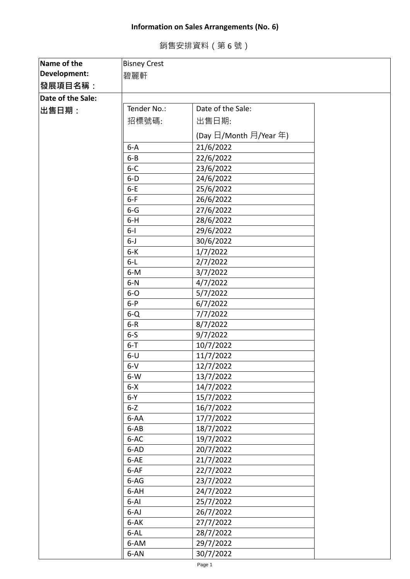## **Information on Sales Arrangements (No. 6)**

銷售安排資料(第 6 號)

| Name of the       | <b>Bisney Crest</b> |                        |  |
|-------------------|---------------------|------------------------|--|
| Development:      | 碧麗軒                 |                        |  |
| 發展項目名稱:           |                     |                        |  |
| Date of the Sale: |                     |                        |  |
| 出售日期:             | Tender No.:         | Date of the Sale:      |  |
|                   | 招標號碼:               | 出售日期:                  |  |
|                   |                     | (Day 日/Month 月/Year 年) |  |
|                   | $6 - A$             | 21/6/2022              |  |
|                   | $6 - B$             | 22/6/2022              |  |
|                   | $6 - C$             | 23/6/2022              |  |
|                   | $6-D$               | 24/6/2022              |  |
|                   | $6-E$               | 25/6/2022              |  |
|                   | $6-F$               | 26/6/2022              |  |
|                   | $6 - G$             | 27/6/2022              |  |
|                   | $6-H$               | 28/6/2022              |  |
|                   | $6 - 1$             | 29/6/2022              |  |
|                   | $6 - J$             | 30/6/2022              |  |
|                   | $6-K$               | 1/7/2022               |  |
|                   | $6-L$               | 2/7/2022               |  |
|                   | $6-M$               | 3/7/2022               |  |
|                   | $6-N$               | 4/7/2022               |  |
|                   | $6-0$               | 5/7/2022               |  |
|                   | $6-P$               | 6/7/2022               |  |
|                   | $6 - Q$             | 7/7/2022               |  |
|                   | $6-R$               | 8/7/2022               |  |
|                   | $6-5$               | 9/7/2022               |  |
|                   | $6 - T$             | 10/7/2022              |  |
|                   | $6-U$               | 11/7/2022              |  |
|                   | $6-V$               | 12/7/2022              |  |
|                   | $6-W$               | 13/7/2022              |  |
|                   | $6 - X$             | 14/7/2022              |  |
|                   | $6-Y$               | 15/7/2022              |  |
|                   | $6 - Z$             | 16/7/2022              |  |
|                   | 6-AA                | 17/7/2022              |  |
|                   | 6-AB                | 18/7/2022              |  |
|                   | 6-AC                | 19/7/2022              |  |
|                   | 6-AD                | 20/7/2022              |  |
|                   | 6-AE                | 21/7/2022              |  |
|                   | 6-AF                | 22/7/2022              |  |
|                   | 6-AG                | 23/7/2022              |  |
|                   | 6-AH                | 24/7/2022              |  |
|                   | 6-AI                | 25/7/2022              |  |
|                   | $6 - AJ$            | 26/7/2022              |  |
|                   | 6-AK                | 27/7/2022              |  |
|                   | 6-AL                | 28/7/2022              |  |
|                   | 6-AM                | 29/7/2022              |  |
|                   | 6-AN                | 30/7/2022              |  |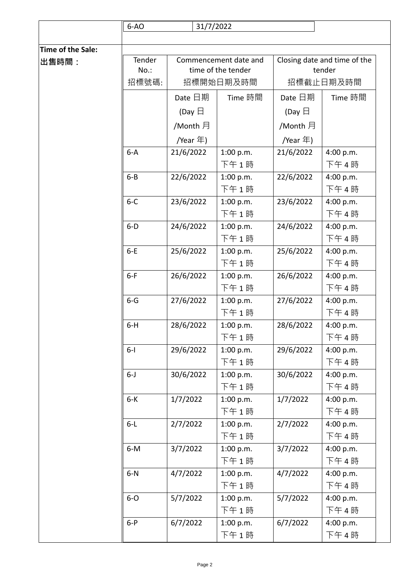|                   | $6-AO$  | 31/7/2022        |                       |                  |                              |
|-------------------|---------|------------------|-----------------------|------------------|------------------------------|
|                   |         |                  |                       |                  |                              |
| Time of the Sale: |         |                  |                       |                  |                              |
| 出售時間:             | Tender  |                  | Commencement date and |                  | Closing date and time of the |
|                   | No.:    |                  | time of the tender    |                  | tender                       |
|                   | 招標號碼:   |                  | 招標開始日期及時間             |                  | 招標截止日期及時間                    |
|                   |         | Date 日期          | Time 時間               | Date 日期          | Time 時間                      |
|                   |         | (Day $\boxminus$ |                       | (Day $\boxminus$ |                              |
|                   |         | /Month 月         |                       | /Month 月         |                              |
|                   |         | /Year 年)         |                       | /Year 年)         |                              |
|                   | $6-A$   | 21/6/2022        | 1:00 p.m.             | 21/6/2022        | 4:00 p.m.                    |
|                   |         |                  | 下午1時                  |                  | 下午4時                         |
|                   | $6 - B$ | 22/6/2022        | 1:00 p.m.             | 22/6/2022        | 4:00 p.m.                    |
|                   |         |                  | 下午1時                  |                  | 下午4時                         |
|                   | $6 - C$ | 23/6/2022        | 1:00 p.m.             | 23/6/2022        | 4:00 p.m.                    |
|                   |         |                  | 下午1時                  |                  | 下午4時                         |
|                   | $6-D$   | 24/6/2022        | 1:00 p.m.             | 24/6/2022        | 4:00 p.m.                    |
|                   |         |                  | 下午1時                  |                  | 下午4時                         |
|                   | $6-E$   | 25/6/2022        | 1:00 p.m.             | 25/6/2022        | 4:00 p.m.                    |
|                   |         |                  | 下午1時                  |                  | 下午4時                         |
|                   | $6-F$   | 26/6/2022        | 1:00 p.m.             | 26/6/2022        | 4:00 p.m.                    |
|                   |         |                  | 下午1時                  |                  | 下午4時                         |
|                   | $6 - G$ | 27/6/2022        | 1:00 p.m.             | 27/6/2022        | 4:00 p.m.                    |
|                   |         |                  | 下午1時                  |                  | 下午4時                         |
|                   | $6-H$   | 28/6/2022        | 1:00 p.m.             | 28/6/2022        | 4:00 p.m.                    |
|                   |         |                  | 下午1時                  |                  | 下午4時                         |
|                   | $6 - 1$ | 29/6/2022        | 1:00 p.m.             | 29/6/2022        | 4:00 p.m.                    |
|                   |         |                  | 下午1時                  |                  | 下午4時                         |
|                   | $6 - J$ | 30/6/2022        | 1:00 p.m.             | 30/6/2022        | 4:00 p.m.                    |
|                   |         |                  | 下午1時                  |                  | 下午4時                         |
|                   | $6-K$   | 1/7/2022         | 1:00 p.m.             | 1/7/2022         | 4:00 p.m.                    |
|                   |         |                  | 下午1時                  |                  | 下午4時                         |
|                   | $6-L$   | 2/7/2022         | 1:00 p.m.             | 2/7/2022         | 4:00 p.m.                    |
|                   |         |                  | 下午1時                  |                  | 下午4時                         |
|                   | $6-M$   | 3/7/2022         | 1:00 p.m.             | 3/7/2022         | 4:00 p.m.                    |
|                   |         |                  | 下午1時                  |                  | 下午4時                         |
|                   | $6-N$   | 4/7/2022         | 1:00 p.m.             | 4/7/2022         | 4:00 p.m.                    |
|                   |         |                  | 下午1時                  |                  | 下午4時                         |
|                   | $6-0$   | 5/7/2022         | 1:00 p.m.             | 5/7/2022         | 4:00 p.m.                    |
|                   |         |                  | 下午1時                  |                  | 下午4時                         |
|                   | $6-P$   | 6/7/2022         | 1:00 p.m.             | 6/7/2022         | 4:00 p.m.                    |
|                   |         |                  | 下午1時                  |                  | 下午4時                         |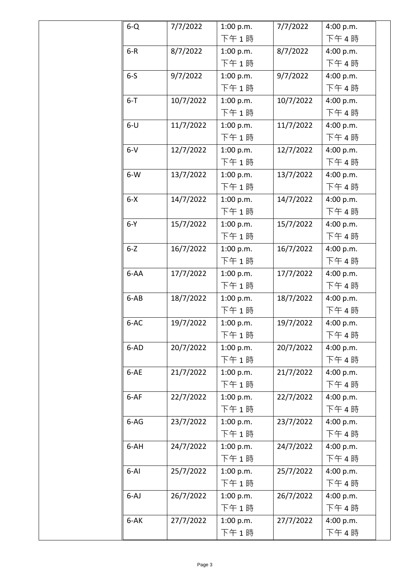| $6 - Q$  | 7/7/2022  | 1:00 p.m. | 7/7/2022  | 4:00 p.m. |
|----------|-----------|-----------|-----------|-----------|
|          |           | 下午1時      |           | 下午4時      |
| $6-R$    | 8/7/2022  | 1:00 p.m. | 8/7/2022  | 4:00 p.m. |
|          |           | 下午1時      |           | 下午4時      |
| $6-5$    | 9/7/2022  | 1:00 p.m. | 9/7/2022  | 4:00 p.m. |
|          |           | 下午1時      |           | 下午4時      |
| $6 - T$  | 10/7/2022 | 1:00 p.m. | 10/7/2022 | 4:00 p.m. |
|          |           | 下午1時      |           | 下午4時      |
| $6-U$    | 11/7/2022 | 1:00 p.m. | 11/7/2022 | 4:00 p.m. |
|          |           | 下午1時      |           | 下午4時      |
| $6-V$    | 12/7/2022 | 1:00 p.m. | 12/7/2022 | 4:00 p.m. |
|          |           | 下午1時      |           | 下午4時      |
| $6-W$    | 13/7/2022 | 1:00 p.m. | 13/7/2022 | 4:00 p.m. |
|          |           | 下午1時      |           | 下午4時      |
| $6 - X$  | 14/7/2022 | 1:00 p.m. | 14/7/2022 | 4:00 p.m. |
|          |           | 下午1時      |           | 下午4時      |
| $6-Y$    | 15/7/2022 | 1:00 p.m. | 15/7/2022 | 4:00 p.m. |
|          |           | 下午1時      |           | 下午4時      |
| $6 - Z$  | 16/7/2022 | 1:00 p.m. | 16/7/2022 | 4:00 p.m. |
|          |           | 下午1時      |           | 下午4時      |
| 6-AA     | 17/7/2022 | 1:00 p.m. | 17/7/2022 | 4:00 p.m. |
|          |           | 下午1時      |           | 下午4時      |
| $6-AB$   | 18/7/2022 | 1:00 p.m. | 18/7/2022 | 4:00 p.m. |
|          |           | 下午1時      |           | 下午4時      |
| 6-AC     | 19/7/2022 | 1:00 p.m. | 19/7/2022 | 4:00 p.m. |
|          |           | 下午 1 時    |           | 下午4時      |
| 6-AD     | 20/7/2022 | 1:00 p.m. | 20/7/2022 | 4:00 p.m. |
|          |           | 下午1時      |           | 下午4時      |
| 6-AE     | 21/7/2022 | 1:00 p.m. | 21/7/2022 | 4:00 p.m. |
|          |           | 下午1時      |           | 下午4時      |
| 6-AF     | 22/7/2022 | 1:00 p.m. | 22/7/2022 | 4:00 p.m. |
|          |           | 下午1時      |           | 下午4時      |
| $6-AG$   | 23/7/2022 | 1:00 p.m. | 23/7/2022 | 4:00 p.m. |
|          |           | 下午1時      |           | 下午4時      |
| 6-AH     | 24/7/2022 | 1:00 p.m. | 24/7/2022 | 4:00 p.m. |
|          |           | 下午1時      |           | 下午4時      |
| $6 - AI$ | 25/7/2022 | 1:00 p.m. | 25/7/2022 | 4:00 p.m. |
|          |           | 下午1時      |           | 下午4時      |
| $6-AJ$   | 26/7/2022 | 1:00 p.m. | 26/7/2022 | 4:00 p.m. |
|          |           | 下午1時      |           | 下午4時      |
| 6-AK     | 27/7/2022 | 1:00 p.m. | 27/7/2022 | 4:00 p.m. |
|          |           | 下午1時      |           | 下午4時      |
|          |           |           |           |           |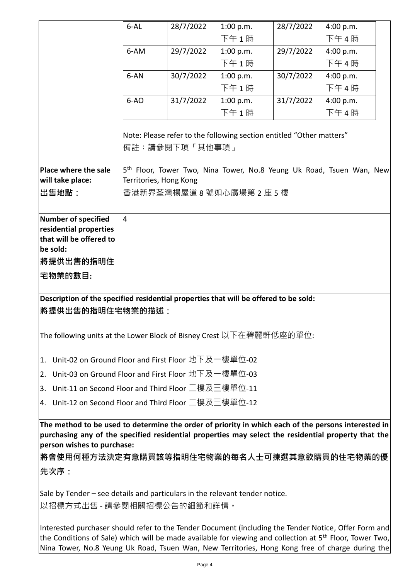|                                                                                                       | $6 - AL$       | 28/7/2022                                                            | 1:00 p.m. | 28/7/2022 | 4:00 p.m.                                                                        |  |  |  |
|-------------------------------------------------------------------------------------------------------|----------------|----------------------------------------------------------------------|-----------|-----------|----------------------------------------------------------------------------------|--|--|--|
|                                                                                                       |                |                                                                      | 下午1時      |           | 下午4時                                                                             |  |  |  |
|                                                                                                       | 6-AM           | 29/7/2022                                                            | 1:00 p.m. | 29/7/2022 | 4:00 p.m.                                                                        |  |  |  |
|                                                                                                       |                |                                                                      | 下午1時      |           | 下午4時                                                                             |  |  |  |
|                                                                                                       | 6-AN           | 30/7/2022                                                            | 1:00 p.m. | 30/7/2022 | 4:00 p.m.                                                                        |  |  |  |
|                                                                                                       |                |                                                                      | 下午1時      |           | 下午4時                                                                             |  |  |  |
|                                                                                                       | $6-AO$         | 31/7/2022                                                            | 1:00 p.m. | 31/7/2022 | 4:00 p.m.                                                                        |  |  |  |
|                                                                                                       |                |                                                                      | 下午1時      |           | 下午4時                                                                             |  |  |  |
|                                                                                                       |                |                                                                      |           |           |                                                                                  |  |  |  |
|                                                                                                       |                | Note: Please refer to the following section entitled "Other matters" |           |           |                                                                                  |  |  |  |
|                                                                                                       |                | 備註:請參閱下項「其他事項」                                                       |           |           |                                                                                  |  |  |  |
|                                                                                                       |                |                                                                      |           |           |                                                                                  |  |  |  |
| Place where the sale                                                                                  |                |                                                                      |           |           | 5 <sup>th</sup> Floor, Tower Two, Nina Tower, No.8 Yeung Uk Road, Tsuen Wan, New |  |  |  |
| will take place:                                                                                      |                | Territories, Hong Kong                                               |           |           |                                                                                  |  |  |  |
| 出售地點:                                                                                                 |                | 香港新界荃灣楊屋道 8 號如心廣場第 2 座 5 樓                                           |           |           |                                                                                  |  |  |  |
|                                                                                                       |                |                                                                      |           |           |                                                                                  |  |  |  |
| <b>Number of specified</b>                                                                            | $\overline{4}$ |                                                                      |           |           |                                                                                  |  |  |  |
| residential properties                                                                                |                |                                                                      |           |           |                                                                                  |  |  |  |
| that will be offered to                                                                               |                |                                                                      |           |           |                                                                                  |  |  |  |
| be sold:                                                                                              |                |                                                                      |           |           |                                                                                  |  |  |  |
| 將提供出售的指明住                                                                                             |                |                                                                      |           |           |                                                                                  |  |  |  |
| 宅物業的數目:                                                                                               |                |                                                                      |           |           |                                                                                  |  |  |  |
|                                                                                                       |                |                                                                      |           |           |                                                                                  |  |  |  |
| Description of the specified residential properties that will be offered to be sold:                  |                |                                                                      |           |           |                                                                                  |  |  |  |
| 將提供出售的指明住宅物業的描述:                                                                                      |                |                                                                      |           |           |                                                                                  |  |  |  |
|                                                                                                       |                |                                                                      |           |           |                                                                                  |  |  |  |
| The following units at the Lower Block of Bisney Crest 以下在碧麗軒低座的單位:                                   |                |                                                                      |           |           |                                                                                  |  |  |  |
|                                                                                                       |                |                                                                      |           |           |                                                                                  |  |  |  |
| Unit-02 on Ground Floor and First Floor 地下及一樓單位-02<br>1.                                              |                |                                                                      |           |           |                                                                                  |  |  |  |
| Unit-03 on Ground Floor and First Floor 地下及一樓單位-03                                                    |                |                                                                      |           |           |                                                                                  |  |  |  |
| 2.<br>Unit-11 on Second Floor and Third Floor 二樓及三樓單位-11                                              |                |                                                                      |           |           |                                                                                  |  |  |  |
| 3.                                                                                                    |                |                                                                      |           |           |                                                                                  |  |  |  |
| 4. Unit-12 on Second Floor and Third Floor 二樓及三樓單位-12                                                 |                |                                                                      |           |           |                                                                                  |  |  |  |
| The method to be used to determine the order of priority in which each of the persons interested in   |                |                                                                      |           |           |                                                                                  |  |  |  |
| purchasing any of the specified residential properties may select the residential property that the   |                |                                                                      |           |           |                                                                                  |  |  |  |
| person wishes to purchase:                                                                            |                |                                                                      |           |           |                                                                                  |  |  |  |
| 將會使用何種方法決定有意購買該等指明住宅物業的每名人士可揀選其意欲購買的住宅物業的優                                                            |                |                                                                      |           |           |                                                                                  |  |  |  |
|                                                                                                       |                |                                                                      |           |           |                                                                                  |  |  |  |
| 先次序:                                                                                                  |                |                                                                      |           |           |                                                                                  |  |  |  |
| Sale by Tender - see details and particulars in the relevant tender notice.                           |                |                                                                      |           |           |                                                                                  |  |  |  |
|                                                                                                       |                |                                                                      |           |           |                                                                                  |  |  |  |
| 以招標方式出售 - 請參閱相關招標公告的細節和詳情。                                                                            |                |                                                                      |           |           |                                                                                  |  |  |  |
| Interested purchaser should refer to the Tender Document (including the Tender Notice, Offer Form and |                |                                                                      |           |           |                                                                                  |  |  |  |

the Conditions of Sale) which will be made available for viewing and collection at 5<sup>th</sup> Floor, Tower Two, Nina Tower, No.8 Yeung Uk Road, Tsuen Wan, New Territories, Hong Kong free of charge during the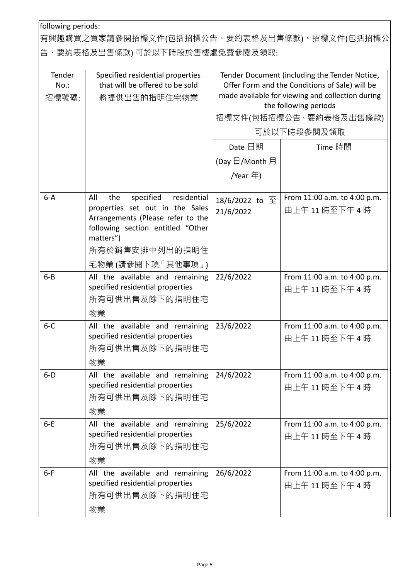following periods:

有興趣購買之買家請參閱招標文件(包括招標公告、要約表格及出售條款)。招標文件(包括招標公 告、要約表格及出售條款) 可於以下時段於售樓處免費參閱及領取:

| Tender<br>$No.$ :<br>招標號碼: | Specified residential properties<br>that will be offered to be sold<br>將提供出售的指明住宅物業                                                                                                                      | Tender Document (including the Tender Notice,<br>Offer Form and the Conditions of Sale) will be<br>made available for viewing and collection during<br>the following periods<br>招標文件(包括招標公告 、要約表格及出售條款)<br>可於以下時段參閱及領取<br>Date 日期<br>Time 時間 |                                             |  |
|----------------------------|----------------------------------------------------------------------------------------------------------------------------------------------------------------------------------------------------------|----------------------------------------------------------------------------------------------------------------------------------------------------------------------------------------------------------------------------------------------|---------------------------------------------|--|
|                            |                                                                                                                                                                                                          | (Day 日/Month 月                                                                                                                                                                                                                               |                                             |  |
|                            |                                                                                                                                                                                                          | /Year 年)                                                                                                                                                                                                                                     |                                             |  |
| $6 - A$                    | specified<br>All<br>the<br>residential<br>properties set out in the Sales<br>Arrangements (Please refer to the<br>following section entitled "Other<br>matters")<br>所有於銷售安排中列出的指明住<br>宅物業 (請參閱下項 「其他事項」) | 18/6/2022 to 至<br>21/6/2022                                                                                                                                                                                                                  | From 11:00 a.m. to 4:00 p.m.<br>由上午11時至下午4時 |  |
| $6 - B$                    | All the available and remaining<br>specified residential properties<br>所有可供出售及餘下的指明住宅<br>物業                                                                                                              | 22/6/2022                                                                                                                                                                                                                                    | From 11:00 a.m. to 4:00 p.m.<br>由上午11時至下午4時 |  |
| $6-C$                      | All the available and remaining<br>specified residential properties<br>所有可供出售及餘下的指明住宅<br>物業                                                                                                              | 23/6/2022                                                                                                                                                                                                                                    | From 11:00 a.m. to 4:00 p.m.<br>由上午11時至下午4時 |  |
| $6-D$                      | All the available and remaining $24/6/2022$<br>specified residential properties<br>所有可供出售及餘下的指明住宅<br>物業                                                                                                  |                                                                                                                                                                                                                                              | From 11:00 a.m. to 4:00 p.m.<br>由上午11時至下午4時 |  |
| $6-E$                      | All the available and remaining<br>specified residential properties<br>所有可供出售及餘下的指明住宅<br>物業                                                                                                              | 25/6/2022                                                                                                                                                                                                                                    | From 11:00 a.m. to 4:00 p.m.<br>由上午11時至下午4時 |  |
| $6-F$                      | All the available and remaining<br>specified residential properties<br>所有可供出售及餘下的指明住宅<br>物業                                                                                                              | 26/6/2022                                                                                                                                                                                                                                    | From 11:00 a.m. to 4:00 p.m.<br>由上午11時至下午4時 |  |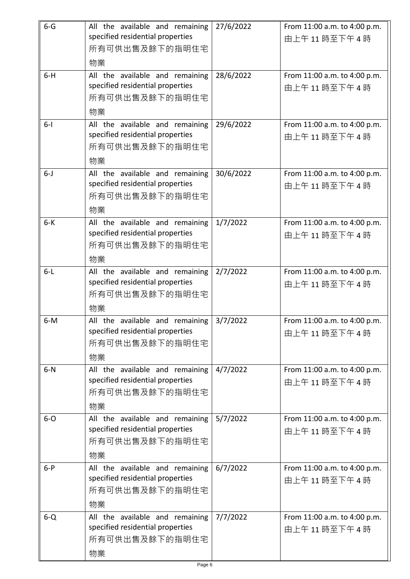| $6 - G$ | All the available and remaining<br>specified residential properties<br>所有可供出售及餘下的指明住宅<br>物業 | 27/6/2022 | From 11:00 a.m. to 4:00 p.m.<br>由上午11時至下午4時 |
|---------|---------------------------------------------------------------------------------------------|-----------|---------------------------------------------|
| $6-H$   | All the available and remaining<br>specified residential properties<br>所有可供出售及餘下的指明住宅<br>物業 | 28/6/2022 | From 11:00 a.m. to 4:00 p.m.<br>由上午11時至下午4時 |
| $6-1$   | All the available and remaining<br>specified residential properties<br>所有可供出售及餘下的指明住宅<br>物業 | 29/6/2022 | From 11:00 a.m. to 4:00 p.m.<br>由上午11時至下午4時 |
| $6 - J$ | All the available and remaining<br>specified residential properties<br>所有可供出售及餘下的指明住宅<br>物業 | 30/6/2022 | From 11:00 a.m. to 4:00 p.m.<br>由上午11時至下午4時 |
| $6-K$   | All the available and remaining<br>specified residential properties<br>所有可供出售及餘下的指明住宅<br>物業 | 1/7/2022  | From 11:00 a.m. to 4:00 p.m.<br>由上午11時至下午4時 |
| $6 - L$ | All the available and remaining<br>specified residential properties<br>所有可供出售及餘下的指明住宅<br>物業 | 2/7/2022  | From 11:00 a.m. to 4:00 p.m.<br>由上午11時至下午4時 |
| $6-M$   | All the available and remaining<br>specified residential properties<br>所有可供出售及餘下的指明住宅<br>物業 | 3/7/2022  | From 11:00 a.m. to 4:00 p.m.<br>由上午11時至下午4時 |
| $6-N$   | All the available and remaining<br>specified residential properties<br>所有可供出售及餘下的指明住宅<br>物業 | 4/7/2022  | From 11:00 a.m. to 4:00 p.m.<br>由上午11時至下午4時 |
| $6-0$   | All the available and remaining<br>specified residential properties<br>所有可供出售及餘下的指明住宅<br>物業 | 5/7/2022  | From 11:00 a.m. to 4:00 p.m.<br>由上午11時至下午4時 |
| $6-P$   | All the available and remaining<br>specified residential properties<br>所有可供出售及餘下的指明住宅<br>物業 | 6/7/2022  | From 11:00 a.m. to 4:00 p.m.<br>由上午11時至下午4時 |
| $6 - Q$ | All the available and remaining<br>specified residential properties<br>所有可供出售及餘下的指明住宅<br>物業 | 7/7/2022  | From 11:00 a.m. to 4:00 p.m.<br>由上午11時至下午4時 |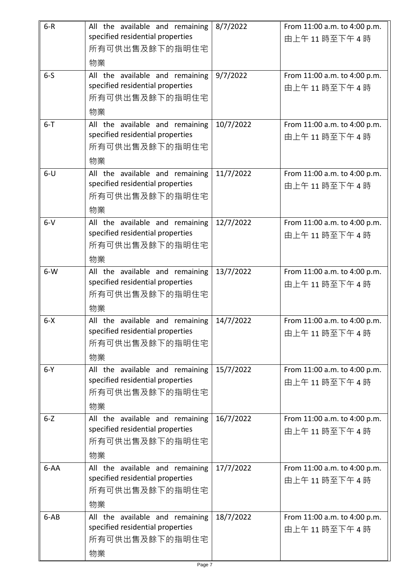| $6-R$   | All the available and remaining<br>specified residential properties<br>所有可供出售及餘下的指明住宅<br>物業 | 8/7/2022  | From 11:00 a.m. to 4:00 p.m.<br>由上午11時至下午4時 |
|---------|---------------------------------------------------------------------------------------------|-----------|---------------------------------------------|
| $6-5$   | All the available and remaining<br>specified residential properties<br>所有可供出售及餘下的指明住宅<br>物業 | 9/7/2022  | From 11:00 a.m. to 4:00 p.m.<br>由上午11時至下午4時 |
| $6 - T$ | All the available and remaining<br>specified residential properties<br>所有可供出售及餘下的指明住宅<br>物業 | 10/7/2022 | From 11:00 a.m. to 4:00 p.m.<br>由上午11時至下午4時 |
| $6-U$   | All the available and remaining<br>specified residential properties<br>所有可供出售及餘下的指明住宅<br>物業 | 11/7/2022 | From 11:00 a.m. to 4:00 p.m.<br>由上午11時至下午4時 |
| $6-V$   | All the available and remaining<br>specified residential properties<br>所有可供出售及餘下的指明住宅<br>物業 | 12/7/2022 | From 11:00 a.m. to 4:00 p.m.<br>由上午11時至下午4時 |
| $6-W$   | All the available and remaining<br>specified residential properties<br>所有可供出售及餘下的指明住宅<br>物業 | 13/7/2022 | From 11:00 a.m. to 4:00 p.m.<br>由上午11時至下午4時 |
| $6 - X$ | All the available and remaining<br>specified residential properties<br>所有可供出售及餘下的指明住宅<br>物業 | 14/7/2022 | From 11:00 a.m. to 4:00 p.m.<br>由上午11時至下午4時 |
| $6-Y$   | All the available and remaining<br>specified residential properties<br>所有可供出售及餘下的指明住宅<br>物業 | 15/7/2022 | From 11:00 a.m. to 4:00 p.m.<br>由上午11時至下午4時 |
| $6 - Z$ | All the available and remaining<br>specified residential properties<br>所有可供出售及餘下的指明住宅<br>物業 | 16/7/2022 | From 11:00 a.m. to 4:00 p.m.<br>由上午11時至下午4時 |
| 6-AA    | All the available and remaining<br>specified residential properties<br>所有可供出售及餘下的指明住宅<br>物業 | 17/7/2022 | From 11:00 a.m. to 4:00 p.m.<br>由上午11時至下午4時 |
| $6-AB$  | All the available and remaining<br>specified residential properties<br>所有可供出售及餘下的指明住宅<br>物業 | 18/7/2022 | From 11:00 a.m. to 4:00 p.m.<br>由上午11時至下午4時 |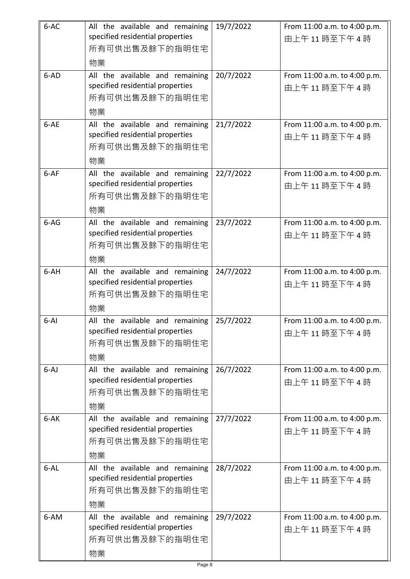| 6-AC     | All the available and remaining<br>specified residential properties<br>所有可供出售及餘下的指明住宅<br>物業 | 19/7/2022 | From 11:00 a.m. to 4:00 p.m.<br>由上午11時至下午4時 |
|----------|---------------------------------------------------------------------------------------------|-----------|---------------------------------------------|
| 6-AD     | All the available and remaining<br>specified residential properties<br>所有可供出售及餘下的指明住宅<br>物業 | 20/7/2022 | From 11:00 a.m. to 4:00 p.m.<br>由上午11時至下午4時 |
| 6-AE     | All the available and remaining<br>specified residential properties<br>所有可供出售及餘下的指明住宅<br>物業 | 21/7/2022 | From 11:00 a.m. to 4:00 p.m.<br>由上午11時至下午4時 |
| $6-AF$   | All the available and remaining<br>specified residential properties<br>所有可供出售及餘下的指明住宅<br>物業 | 22/7/2022 | From 11:00 a.m. to 4:00 p.m.<br>由上午11時至下午4時 |
| $6-AG$   | All the available and remaining<br>specified residential properties<br>所有可供出售及餘下的指明住宅<br>物業 | 23/7/2022 | From 11:00 a.m. to 4:00 p.m.<br>由上午11時至下午4時 |
| 6-AH     | All the available and remaining<br>specified residential properties<br>所有可供出售及餘下的指明住宅<br>物業 | 24/7/2022 | From 11:00 a.m. to 4:00 p.m.<br>由上午11時至下午4時 |
| $6-Al$   | All the available and remaining<br>specified residential properties<br>所有可供出售及餘下的指明住宅<br>物業 | 25/7/2022 | From 11:00 a.m. to 4:00 p.m.<br>由上午11時至下午4時 |
| $6-AJ$   | All the available and remaining<br>specified residential properties<br>所有可供出售及餘下的指明住宅<br>物業 | 26/7/2022 | From 11:00 a.m. to 4:00 p.m.<br>由上午11時至下午4時 |
| 6-AK     | All the available and remaining<br>specified residential properties<br>所有可供出售及餘下的指明住宅<br>物業 | 27/7/2022 | From 11:00 a.m. to 4:00 p.m.<br>由上午11時至下午4時 |
| $6 - AL$ | All the available and remaining<br>specified residential properties<br>所有可供出售及餘下的指明住宅<br>物業 | 28/7/2022 | From 11:00 a.m. to 4:00 p.m.<br>由上午11時至下午4時 |
| 6-AM     | All the available and remaining<br>specified residential properties<br>所有可供出售及餘下的指明住宅<br>物業 | 29/7/2022 | From 11:00 a.m. to 4:00 p.m.<br>由上午11時至下午4時 |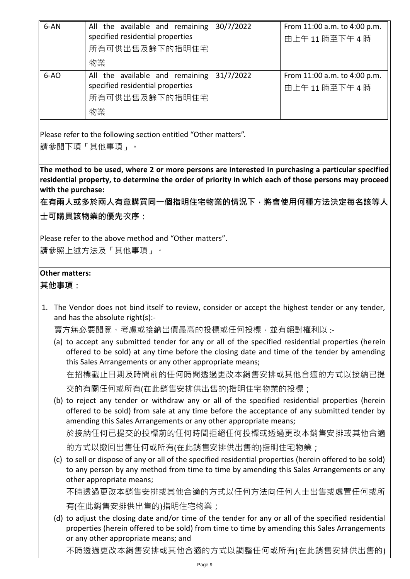| 6-AN   | All the available and remaining<br>specified residential properties                         | 30/7/2022 | From 11:00 a.m. to 4:00 p.m.<br>由上午11時至下午4時  |
|--------|---------------------------------------------------------------------------------------------|-----------|----------------------------------------------|
|        | 所有可供出售及餘下的指明住宅<br>物業                                                                        |           |                                              |
| $6-AO$ | All the available and remaining<br>specified residential properties<br>所有可供出售及餘下的指明住宅<br>物業 | 31/7/2022 | From 11:00 a.m. to 4:00 p.m.<br>由上午11 時至下午4時 |

Please refer to the following section entitled "Other matters".

請參閱下項「其他事項」。

**The method to be used, where 2 or more persons are interested in purchasing a particular specified residential property, to determine the order of priority in which each of those persons may proceed with the purchase:**

**在有兩人或多於兩人有意購買同一個指明住宅物業的情況下,將會使用何種方法決定每名該等人 士可購買該物業的優先次序:**

Please refer to the above method and "Other matters".

請參照上述方法及「其他事項」。

## **Other matters:**

**其他事項:**

1. The Vendor does not bind itself to review, consider or accept the highest tender or any tender, and has the absolute right(s):-

賣方無必要閱覽、考慮或接納出價最高的投標或任何投標,並有絕對權利以 :-

(a) to accept any submitted tender for any or all of the specified residential properties (herein offered to be sold) at any time before the closing date and time of the tender by amending this Sales Arrangements or any other appropriate means; 在招標截止日期及時間前的任何時間透過更改本銷售安排或其他合適的方式以接納已提

交的有關任何或所有(在此銷售安排供出售的)指明住宅物業的投標;

(b) to reject any tender or withdraw any or all of the specified residential properties (herein offered to be sold) from sale at any time before the acceptance of any submitted tender by amending this Sales Arrangements or any other appropriate means;

於接納任何已提交的投標前的任何時間拒絕任何投標或透過更改本銷售安排或其他合適

的方式以撤回出售任何或所有(在此銷售安排供出售的)指明住宅物業;

(c) to sell or dispose of any or all of the specified residential properties (herein offered to be sold) to any person by any method from time to time by amending this Sales Arrangements or any other appropriate means;

不時透過更改本銷售安排或其他合適的方式以任何方法向任何人士出售或處置任何或所 有(在此銷售安排供出售的)指明住宅物業;

(d) to adjust the closing date and/or time of the tender for any or all of the specified residential properties (herein offered to be sold) from time to time by amending this Sales Arrangements or any other appropriate means; and

不時透過更改本銷售安排或其他合適的方式以調整任何或所有(在此銷售安排供出售的)